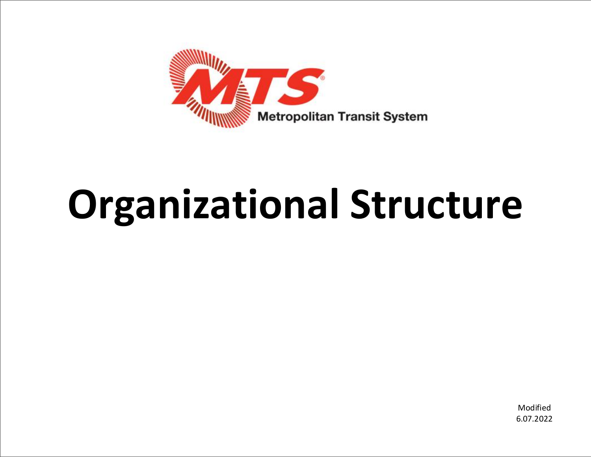

# **Organizational Structure**

Modified 6.07.2022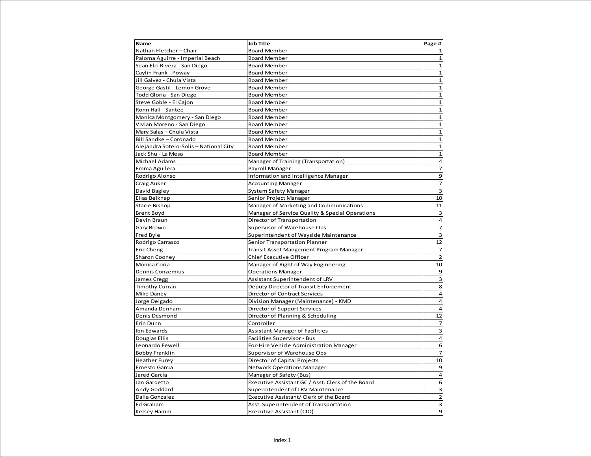| <b>Name</b>                            | <b>Job Title</b>                                  | Page #                  |
|----------------------------------------|---------------------------------------------------|-------------------------|
| Nathan Fletcher-Chair                  | <b>Board Member</b>                               | $\mathbf{1}$            |
| Paloma Aguirre - Imperial Beach        | <b>Board Member</b>                               | $\mathbf{1}$            |
| Sean Elo-Rivera - San Diego            | <b>Board Member</b>                               | $\mathbf{1}$            |
| Caylin Frank - Poway                   | <b>Board Member</b>                               | $\mathbf 1$             |
| Jill Galvez - Chula Vista              | <b>Board Member</b>                               | $\mathbf 1$             |
| George Gastil - Lemon Grove            | <b>Board Member</b>                               | $\mathbf 1$             |
| Todd Gloria - San Diego                | <b>Board Member</b>                               | $\mathbf 1$             |
| Steve Goble - El Cajon                 | <b>Board Member</b>                               | $\mathbf{1}$            |
| Ronn Hall - Santee                     | <b>Board Member</b>                               | $\mathbf 1$             |
| Monica Montgomery - San Diego          | <b>Board Member</b>                               | $\mathbf 1$             |
| Vivian Moreno - San Diego              | <b>Board Member</b>                               | $\mathbf 1$             |
| Mary Salas - Chula Vista               | <b>Board Member</b>                               | $\mathbf{1}$            |
| Bill Sandke - Coronado                 | <b>Board Member</b>                               | $\mathbf{1}$            |
| Alejandra Sotelo-Solis - National City | <b>Board Member</b>                               | $\mathbf{1}$            |
| Jack Shu - La Mesa                     | <b>Board Member</b>                               | $\mathbf 1$             |
| Michael Adams                          | Manager of Training (Transportation)              | $\overline{a}$          |
| Emma Aguilera                          | Payroll Manager                                   | $\overline{7}$          |
| Rodrigo Alonso                         | Information and Intelligence Manager              | 9                       |
| Craig Auker                            | <b>Accounting Manager</b>                         | $\overline{7}$          |
| David Bagley                           | System Safety Manager                             | $\overline{\mathbf{3}}$ |
| Elias Belknap                          | Senior Project Manager                            | 10                      |
| Stacie Bishop                          | Manager of Marketing and Communications           | 11                      |
| <b>Brent Boyd</b>                      | Manager of Service Quality & Special Operations   | 3                       |
| Devin Braun                            | Director of Transportation                        | $\overline{a}$          |
| Gary Brown                             | Supervisor of Warehouse Ops                       | $\overline{7}$          |
| Fred Byle                              | Superintendent of Wayside Maintenance             | $\overline{\mathbf{3}}$ |
| Rodrigo Carrasco                       | Senior Transportation Planner                     | 12                      |
| Eric Cheng                             | Transit Asset Mangement Program Manager           | $\overline{7}$          |
| Sharon Cooney                          | Chief Executive Officer                           | $\overline{2}$          |
| Monica Coria                           | Manager of Right of Way Engineering               | 10                      |
| Dennis Conzemius                       | <b>Operations Manager</b>                         | 9                       |
| James Cregg                            | Assistant Superintendent of LRV                   | 3                       |
| <b>Timothy Curran</b>                  | Deputy Director of Transit Enforcement            | 8                       |
| Mike Daney                             | Director of Contract Services                     | $\overline{a}$          |
| Jorge Delgado                          | Division Manager (Maintenance) - KMD              | $\overline{4}$          |
| Amanda Denham                          | Director of Support Services                      | $\overline{a}$          |
| Denis Desmond                          | Director of Planning & Scheduling                 | 12                      |
| Erin Dunn                              | Controller                                        | $\overline{7}$          |
| Ibn Edwards                            | Assistant Manager of Facilities                   | $\overline{\mathbf{3}}$ |
| Douglas Ellis                          | Facilities Supervisor - Bus                       | $\overline{a}$          |
| Leonardo Fewell                        | For-Hire Vehicle Administration Manager           | 6                       |
| <b>Bobby Franklin</b>                  | Supervisor of Warehouse Ops                       | $\overline{7}$          |
| <b>Heather Furey</b>                   | Director of Capital Projects                      | 10                      |
| Ernesto Garcia                         | <b>Network Operations Manager</b>                 | 9                       |
| Jared Garcia                           | Manager of Safety (Bus)                           | $\overline{4}$          |
| Jan Gardetto                           | Executive Assistant GC / Asst. Clerk of the Board | 6                       |
| Andy Goddard                           | Superintendent of LRV Maintenance                 | 3                       |
| Dalia Gonzalez                         | Executive Assistant/ Clerk of the Board           | $\overline{2}$          |
| Ed Graham                              | Asst. Superintendent of Transportation            | $\overline{\mathbf{3}}$ |
| <b>Kelsey Hamm</b>                     | Executive Assistant (CIO)                         | $\mathbf{9}$            |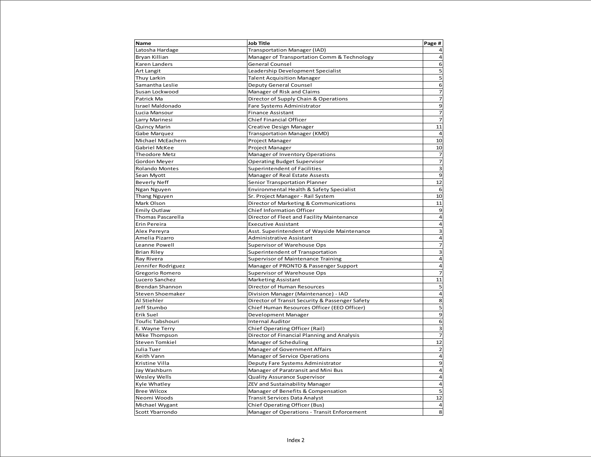| Name                    | <b>Job Title</b>                                | Page #                   |
|-------------------------|-------------------------------------------------|--------------------------|
| Latosha Hardage         | Transportation Manager (IAD)                    | $\overline{a}$           |
| Bryan Killian           | Manager of Transportation Comm & Technology     | $\overline{a}$           |
| Karen Landers           | General Counsel                                 | 6                        |
| Art Langit              | Leadership Development Specialist               | 5                        |
| Thuy Larkin             | <b>Talent Acquisition Manager</b>               | $\overline{5}$           |
| Samantha Leslie         | <b>Deputy General Counsel</b>                   | 6                        |
| Susan Lockwood          | Manager of Risk and Claims                      | $\overline{7}$           |
| Patrick Ma              | Director of Supply Chain & Operations           | $\overline{\phantom{a}}$ |
| <b>Israel Maldonado</b> | Fare Systems Administrator                      | 9                        |
| Lucia Mansour           | <b>Finance Assistant</b>                        | $\overline{7}$           |
| Larry Marinesi          | Chief Financial Officer                         | $\overline{7}$           |
| Quincy Marin            | Creative Design Manager                         | 11                       |
| Gabe Marquez            | <b>Transportation Manager (KMD)</b>             | $\overline{a}$           |
| Michael McEachern       | Project Manager                                 | 10                       |
| Gabriel McKee           | Project Manager                                 | 10                       |
| Theodore Metz           | Manager of Inventory Operations                 | $\overline{7}$           |
| Gordon Meyer            | <b>Operating Budget Supervisor</b>              | $\overline{7}$           |
| <b>Rolando Montes</b>   | <b>Superintendent of Facilities</b>             | $\mathbf{3}$             |
| Sean Myott              | Manager of Real Estate Assests                  | 9                        |
| <b>Beverly Neff</b>     | Senior Transportation Planner                   | 12                       |
| Ngan Nguyen             | Environmental Health & Safety Specialist        | 6                        |
| <b>Thang Nguyen</b>     | Sr. Project Manager - Rail System               | 10                       |
| Mark Olson              | Director of Marketing & Communications          | 11                       |
| <b>Emily Outlaw</b>     | <b>Chief Information Officer</b>                | 9                        |
| Thomas Pascarella       | Director of Fleet and Facility Maintenance      | $\overline{a}$           |
| Erin Pereira            | <b>Executive Assistant</b>                      | $\overline{\mathbf{4}}$  |
| Alex Pereyra            | Asst. Superintendent of Wayside Maintenance     | $\overline{\mathbf{3}}$  |
| Amelia Pizarro          | Administrative Assistant                        | $\overline{\mathbf{4}}$  |
| Leanne Powell           | Supervisor of Warehouse Ops                     | $\overline{\phantom{a}}$ |
| <b>Brian Riley</b>      | Superintendent of Transportation                | 3                        |
| Ray Rivera              | <b>Supervisor of Maintenance Training</b>       | $\overline{\mathbf{4}}$  |
| Jennifer Rodriguez      | Manager of PRONTO & Passenger Support           | $\overline{a}$           |
| Gregorio Romero         | Supervisor of Warehouse Ops                     | $\overline{z}$           |
| Lucero Sanchez          | Marketing Assistant                             | 11                       |
| <b>Brendan Shannon</b>  | Director of Human Resources                     | 5                        |
| Steven Shoemaker        | Division Manager (Maintenance) - IAD            | $\overline{4}$           |
| Al Stiehler             | Director of Transit Security & Passenger Safety | 8                        |
| Jeff Stumbo             | Chief Human Resources Officer (EEO Officer)     | 5                        |
| Erik Suel               | Development Manager                             | $\overline{9}$           |
| Toufic Tabshouri        | <b>Internal Auditor</b>                         | 6                        |
| E. Wayne Terry          | Chief Operating Officer (Rail)                  | 3                        |
| Mike Thompson           | Director of Financial Planning and Analysis     | $\overline{7}$           |
| <b>Steven Tomkiel</b>   | Manager of Scheduling                           | 12                       |
| Julia Tuer              | Manager of Government Affairs                   | $\overline{2}$           |
| Keith Vann              | Manager of Service Operations                   | $\overline{\mathbf{4}}$  |
| Kristine Villa          | Deputy Fare Systems Administrator               | 9                        |
| Jay Washburn            | Manager of Paratransit and Mini Bus             | $\overline{a}$           |
| <b>Wesley Wells</b>     | Quality Assurance Supervisor                    | $\overline{\mathbf{4}}$  |
| Kyle Whatley            | ZEV and Sustainability Manager                  | $\overline{4}$           |
| <b>Bree Wilcox</b>      | Manager of Benefits & Compensation              | 5                        |
| Neomi Woods             | Transit Services Data Analyst                   | 12                       |
| Michael Wygant          | Chief Operating Officer (Bus)                   | 4                        |
| Scott Ybarrondo         | Manager of Operations - Transit Enforcement     | 8                        |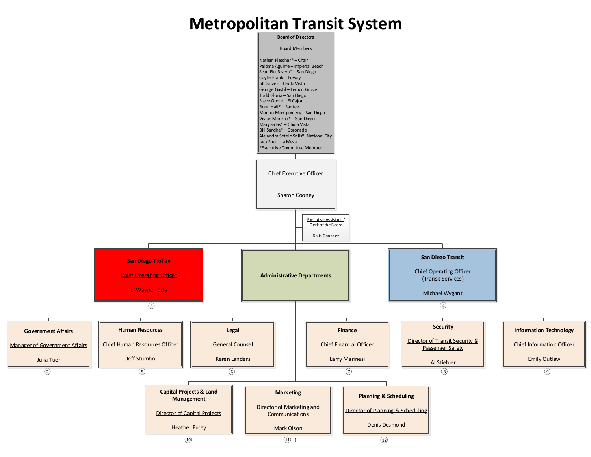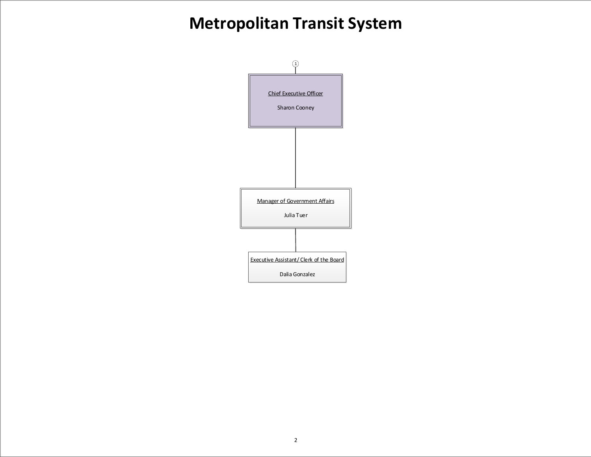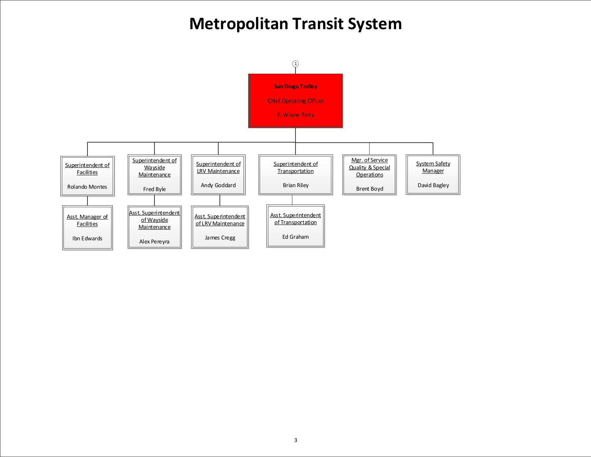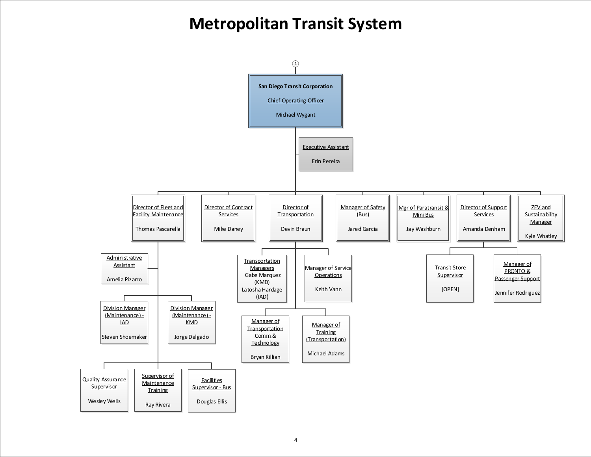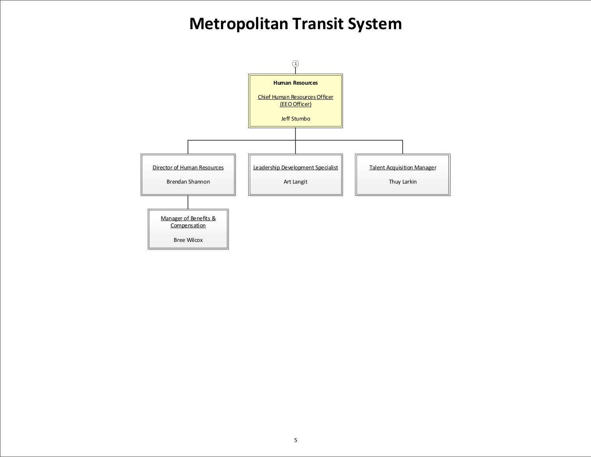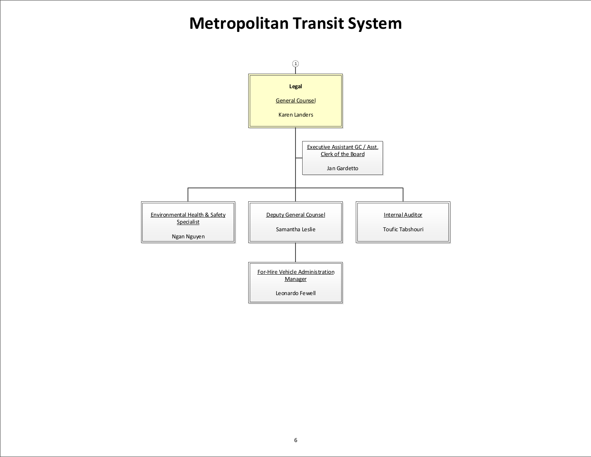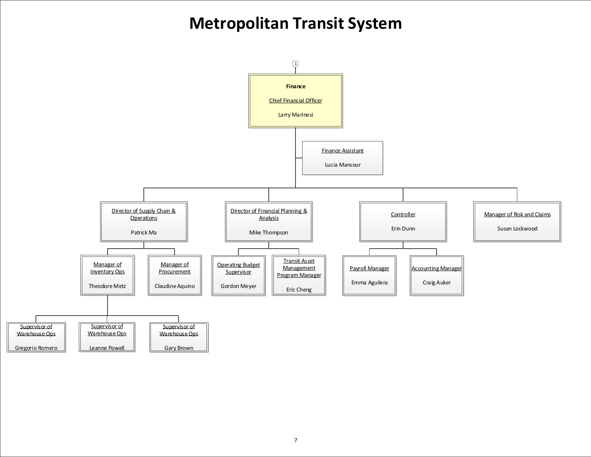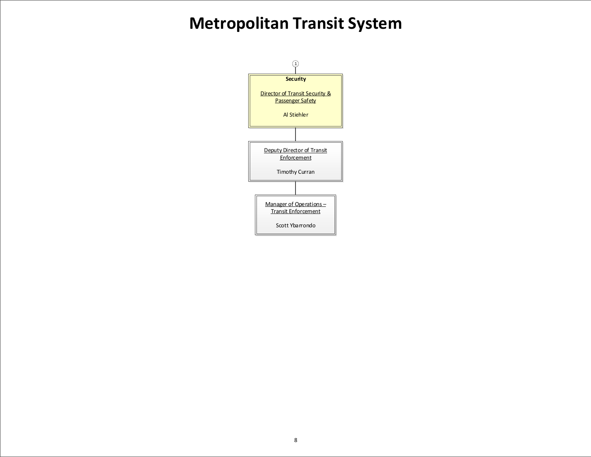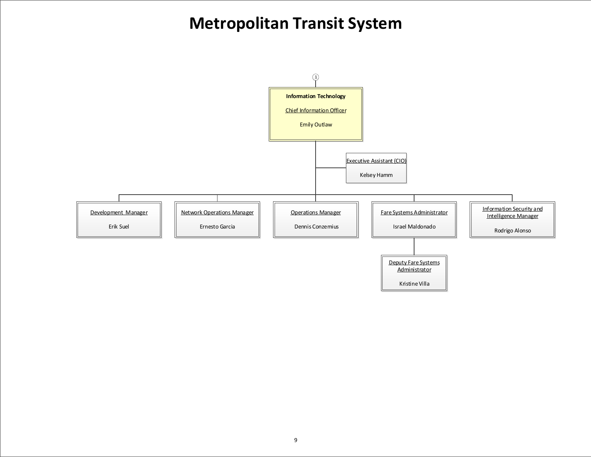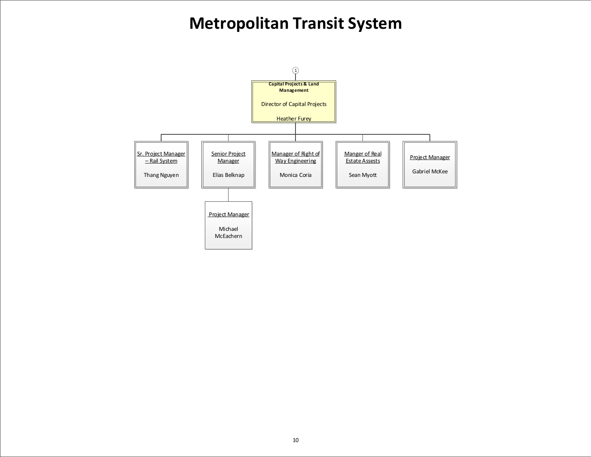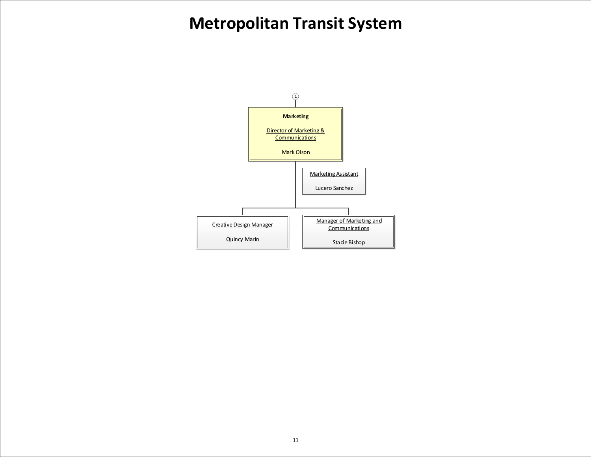